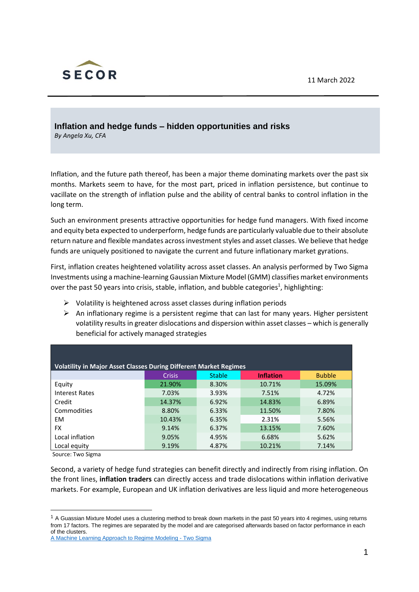11 March 2022



**Inflation and hedge funds – hidden opportunities and risks** *By Angela Xu, CFA*

Inflation, and the future path thereof, has been a major theme dominating markets over the past six months. Markets seem to have, for the most part, priced in inflation persistence, but continue to vacillate on the strength of inflation pulse and the ability of central banks to control inflation in the long term.

Such an environment presents attractive opportunities for hedge fund managers. With fixed income and equity beta expected to underperform, hedge funds are particularly valuable due to their absolute return nature and flexible mandates across investment styles and asset classes. We believe that hedge funds are uniquely positioned to navigate the current and future inflationary market gyrations.

First, inflation creates heightened volatility across asset classes. An analysis performed by Two Sigma Investments using a machine-learning Gaussian Mixture Model (GMM) classifies market environments over the past 50 years into crisis, stable, inflation, and bubble categories<sup>1</sup>, highlighting:

- ➢ Volatility is heightened across asset classes during inflation periods
- $\triangleright$  An inflationary regime is a persistent regime that can last for many years. Higher persistent volatility results in greater dislocations and dispersion within asset classes – which is generally beneficial for actively managed strategies

| <b>Volatility in Major Asset Classes During Different Market Regimes</b> |               |               |                  |               |  |  |  |
|--------------------------------------------------------------------------|---------------|---------------|------------------|---------------|--|--|--|
|                                                                          | <b>Crisis</b> | <b>Stable</b> | <b>Inflation</b> | <b>Bubble</b> |  |  |  |
| Equity                                                                   | 21.90%        | 8.30%         | 10.71%           | 15.09%        |  |  |  |
| Interest Rates                                                           | 7.03%         | 3.93%         | 7.51%            | 4.72%         |  |  |  |
| Credit                                                                   | 14.37%        | 6.92%         | 14.83%           | 6.89%         |  |  |  |
| Commodities                                                              | 8.80%         | 6.33%         | 11.50%           | 7.80%         |  |  |  |
| <b>EM</b>                                                                | 10.43%        | 6.35%         | 2.31%            | 5.56%         |  |  |  |
| <b>FX</b>                                                                | 9.14%         | 6.37%         | 13.15%           | 7.60%         |  |  |  |
| Local inflation                                                          | 9.05%         | 4.95%         | 6.68%            | 5.62%         |  |  |  |
| Local equity                                                             | 9.19%         | 4.87%         | 10.21%           | 7.14%         |  |  |  |

Source: Two Sigma

Second, a variety of hedge fund strategies can benefit directly and indirectly from rising inflation. On the front lines, **inflation traders** can directly access and trade dislocations within inflation derivative markets. For example, European and UK inflation derivatives are less liquid and more heterogeneous

 $1$  A Guassian Mixture Model uses a clustering method to break down markets in the past 50 years into 4 regimes, using returns from 17 factors. The regimes are separated by the model and are categorised afterwards based on factor performance in each of the clusters.

[A Machine Learning Approach to Regime Modeling -](https://www.twosigma.com/articles/a-machine-learning-approach-to-regime-modeling/) Two Sigma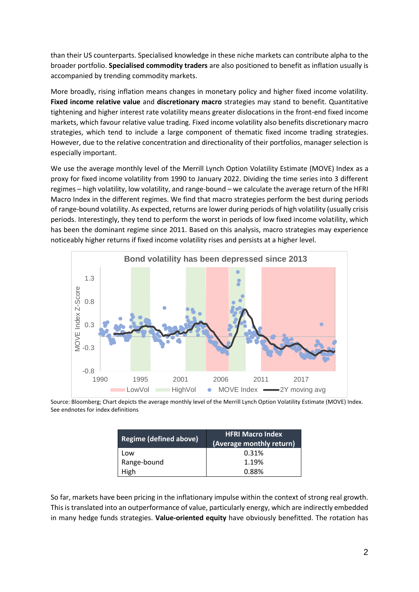than their US counterparts. Specialised knowledge in these niche markets can contribute alpha to the broader portfolio. **Specialised commodity traders** are also positioned to benefit as inflation usually is accompanied by trending commodity markets.

More broadly, rising inflation means changes in monetary policy and higher fixed income volatility. **Fixed income relative value** and **discretionary macro** strategies may stand to benefit. Quantitative tightening and higher interest rate volatility means greater dislocations in the front-end fixed income markets, which favour relative value trading. Fixed income volatility also benefits discretionary macro strategies, which tend to include a large component of thematic fixed income trading strategies. However, due to the relative concentration and directionality of their portfolios, manager selection is especially important.

We use the average monthly level of the Merrill Lynch Option Volatility Estimate (MOVE) Index as a proxy for fixed income volatility from 1990 to January 2022. Dividing the time series into 3 different regimes – high volatility, low volatility, and range-bound – we calculate the average return of the HFRI Macro Index in the different regimes. We find that macro strategies perform the best during periods of range-bound volatility. As expected, returns are lower during periods of high volatility (usually crisis periods. Interestingly, they tend to perform the worst in periods of low fixed income volatility, which has been the dominant regime since 2011. Based on this analysis, macro strategies may experience noticeably higher returns if fixed income volatility rises and persists at a higher level.



Source: Bloomberg; Chart depicts the average monthly level of the Merrill Lynch Option Volatility Estimate (MOVE) Index. See endnotes for index definitions

| <b>Regime (defined above)</b> | <b>HFRI Macro Index</b><br>(Average monthly return) |  |  |
|-------------------------------|-----------------------------------------------------|--|--|
| Low                           | 0.31%                                               |  |  |
| Range-bound                   | 1.19%                                               |  |  |
| High                          | 0.88%                                               |  |  |

So far, markets have been pricing in the inflationary impulse within the context of strong real growth. This is translated into an outperformance of value, particularly energy, which are indirectly embedded in many hedge funds strategies. **Value-oriented equity** have obviously benefitted. The rotation has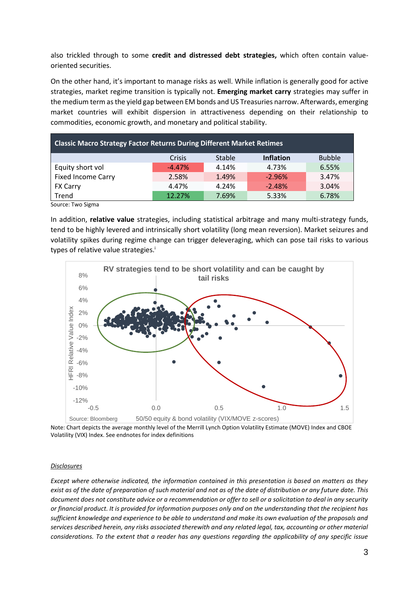also trickled through to some **credit and distressed debt strategies,** which often contain valueoriented securities.

On the other hand, it's important to manage risks as well. While inflation is generally good for active strategies, market regime transition is typically not. **Emerging market carry** strategies may suffer in the medium term as the yield gap between EM bonds and US Treasuries narrow. Afterwards, emerging market countries will exhibit dispersion in attractiveness depending on their relationship to commodities, economic growth, and monetary and political stability.

| <b>Classic Macro Strategy Factor Returns During Different Market Retimes</b> |          |        |                  |               |  |  |
|------------------------------------------------------------------------------|----------|--------|------------------|---------------|--|--|
|                                                                              | Crisis   | Stable | <b>Inflation</b> | <b>Bubble</b> |  |  |
| Equity short vol                                                             | $-4.47%$ | 4.14%  | 4.73%            | 6.55%         |  |  |
| <b>Fixed Income Carry</b>                                                    | 2.58%    | 1.49%  | $-2.96%$         | 3.47%         |  |  |
| <b>FX Carry</b>                                                              | 4.47%    | 4.24%  | $-2.48%$         | 3.04%         |  |  |
| Trend                                                                        | 12.27%   | 7.69%  | 5.33%            | 6.78%         |  |  |

Source: Two Sigma

In addition, **relative value** strategies, including statistical arbitrage and many multi-strategy funds, tend to be highly levered and intrinsically short volatility (long mean reversion). Market seizures and volatility spikes during regime change can trigger deleveraging, which can pose tail risks to various types of relative value strategies.<sup>i</sup>



Note: Chart depicts the average monthly level of the Merrill Lynch Option Volatility Estimate (MOVE) Index and CBOE Volatility (VIX) Index. See endnotes for index definitions

## *Disclosures*

*Except where otherwise indicated, the information contained in this presentation is based on matters as they exist as of the date of preparation of such material and not as of the date of distribution or any future date. This document does not constitute advice or a recommendation or offer to sell or a solicitation to deal in any security or financial product. It is provided for information purposes only and on the understanding that the recipient has sufficient knowledge and experience to be able to understand and make its own evaluation of the proposals and services described herein, any risks associated therewith and any related legal, tax, accounting or other material considerations. To the extent that a reader has any questions regarding the applicability of any specific issue*